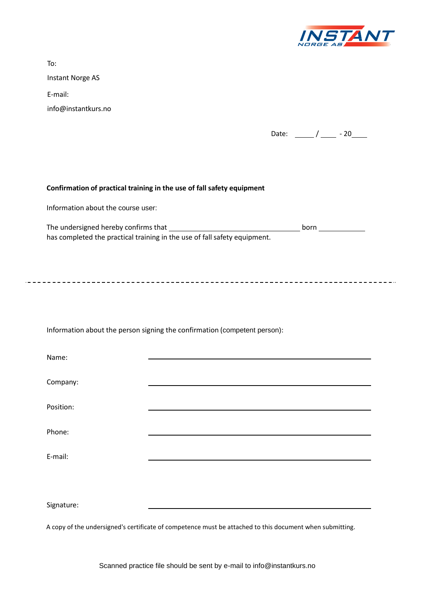

| Instant Norge AS<br>E-mail:<br>info@instantkurs.no<br>Date: $\frac{1}{2}$ / $\frac{1}{2}$ - 20                                                                                                                              |  |  |      |  |
|-----------------------------------------------------------------------------------------------------------------------------------------------------------------------------------------------------------------------------|--|--|------|--|
|                                                                                                                                                                                                                             |  |  |      |  |
|                                                                                                                                                                                                                             |  |  |      |  |
| Confirmation of practical training in the use of fall safety equipment<br>Information about the course user:<br>Information about the person signing the confirmation (competent person):<br>Name:<br>Company:<br>Position: |  |  |      |  |
|                                                                                                                                                                                                                             |  |  |      |  |
|                                                                                                                                                                                                                             |  |  |      |  |
|                                                                                                                                                                                                                             |  |  |      |  |
|                                                                                                                                                                                                                             |  |  |      |  |
|                                                                                                                                                                                                                             |  |  | born |  |
|                                                                                                                                                                                                                             |  |  |      |  |
|                                                                                                                                                                                                                             |  |  |      |  |
|                                                                                                                                                                                                                             |  |  |      |  |
|                                                                                                                                                                                                                             |  |  |      |  |
|                                                                                                                                                                                                                             |  |  |      |  |
| Phone:                                                                                                                                                                                                                      |  |  |      |  |
| E-mail:                                                                                                                                                                                                                     |  |  |      |  |
|                                                                                                                                                                                                                             |  |  |      |  |
| Signature:                                                                                                                                                                                                                  |  |  |      |  |

A copy of the undersigned's certificate of competence must be attached to this document when submitting.